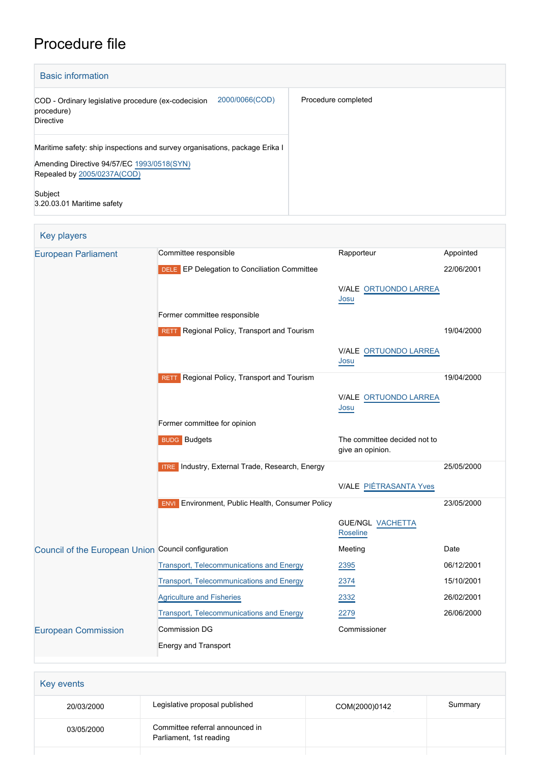# Procedure file

| <b>Basic information</b>                                                                                                                                 |                     |
|----------------------------------------------------------------------------------------------------------------------------------------------------------|---------------------|
| 2000/0066(COD)<br>COD - Ordinary legislative procedure (ex-codecision<br>procedure)<br>Directive                                                         | Procedure completed |
| Maritime safety: ship inspections and survey organisations, package Erika I<br>Amending Directive 94/57/EC 1993/0518(SYN)<br>Repealed by 2005/0237A(COD) |                     |
| Subject<br>3.20.03.01 Maritime safety                                                                                                                    |                     |

| <b>Key players</b>                                  |                                                            |                                                  |            |
|-----------------------------------------------------|------------------------------------------------------------|--------------------------------------------------|------------|
| <b>European Parliament</b>                          | Committee responsible                                      | Rapporteur                                       | Appointed  |
|                                                     | DELE EP Delegation to Conciliation Committee               |                                                  | 22/06/2001 |
|                                                     |                                                            | V/ALE ORTUONDO LARREA                            |            |
|                                                     |                                                            | Josu                                             |            |
|                                                     | Former committee responsible                               |                                                  |            |
|                                                     | RETT Regional Policy, Transport and Tourism                |                                                  | 19/04/2000 |
|                                                     |                                                            | V/ALE ORTUONDO LARREA<br>Josu                    |            |
|                                                     | Regional Policy, Transport and Tourism<br><b>RETT</b>      |                                                  | 19/04/2000 |
|                                                     |                                                            | V/ALE ORTUONDO LARREA<br>Josu                    |            |
|                                                     | Former committee for opinion                               |                                                  |            |
|                                                     | <b>BUDG</b> Budgets                                        | The committee decided not to<br>give an opinion. |            |
|                                                     | <b>ITRE</b> Industry, External Trade, Research, Energy     |                                                  | 25/05/2000 |
|                                                     |                                                            | <b>V/ALE PIÉTRASANTA Yves</b>                    |            |
|                                                     | Environment, Public Health, Consumer Policy<br><b>ENVI</b> |                                                  | 23/05/2000 |
|                                                     |                                                            | <b>GUE/NGL VACHETTA</b><br>Roseline              |            |
| Council of the European Union Council configuration |                                                            | Meeting                                          | Date       |
|                                                     | Transport, Telecommunications and Energy                   | 2395                                             | 06/12/2001 |
|                                                     | Transport, Telecommunications and Energy                   | 2374                                             | 15/10/2001 |
|                                                     | <b>Agriculture and Fisheries</b>                           | 2332                                             | 26/02/2001 |
|                                                     | Transport, Telecommunications and Energy                   | 2279                                             | 26/06/2000 |
| <b>European Commission</b>                          | <b>Commission DG</b>                                       | Commissioner                                     |            |
|                                                     | <b>Energy and Transport</b>                                |                                                  |            |

| Key events |                                                            |               |         |
|------------|------------------------------------------------------------|---------------|---------|
| 20/03/2000 | Legislative proposal published                             | COM(2000)0142 | Summary |
| 03/05/2000 | Committee referral announced in<br>Parliament, 1st reading |               |         |
|            |                                                            |               |         |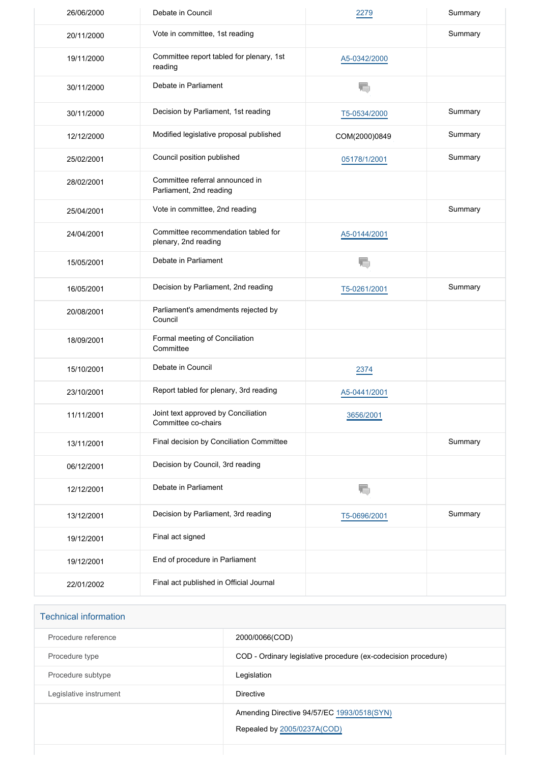| 26/06/2000 | Debate in Council                                           | 2279          | Summary |
|------------|-------------------------------------------------------------|---------------|---------|
| 20/11/2000 | Vote in committee, 1st reading                              |               | Summary |
| 19/11/2000 | Committee report tabled for plenary, 1st<br>reading         | A5-0342/2000  |         |
| 30/11/2000 | Debate in Parliament                                        | T.            |         |
| 30/11/2000 | Decision by Parliament, 1st reading                         | T5-0534/2000  | Summary |
| 12/12/2000 | Modified legislative proposal published                     | COM(2000)0849 | Summary |
| 25/02/2001 | Council position published                                  | 05178/1/2001  | Summary |
| 28/02/2001 | Committee referral announced in<br>Parliament, 2nd reading  |               |         |
| 25/04/2001 | Vote in committee, 2nd reading                              |               | Summary |
| 24/04/2001 | Committee recommendation tabled for<br>plenary, 2nd reading | A5-0144/2001  |         |
| 15/05/2001 | Debate in Parliament                                        | T.            |         |
| 16/05/2001 | Decision by Parliament, 2nd reading                         | T5-0261/2001  | Summary |
| 20/08/2001 | Parliament's amendments rejected by<br>Council              |               |         |
| 18/09/2001 | Formal meeting of Conciliation<br>Committee                 |               |         |
| 15/10/2001 | Debate in Council                                           | 2374          |         |
| 23/10/2001 | Report tabled for plenary, 3rd reading                      | A5-0441/2001  |         |
| 11/11/2001 | Joint text approved by Conciliation<br>Committee co-chairs  | 3656/2001     |         |
| 13/11/2001 | Final decision by Conciliation Committee                    |               | Summary |
| 06/12/2001 | Decision by Council, 3rd reading                            |               |         |
| 12/12/2001 | Debate in Parliament                                        | T.            |         |
| 13/12/2001 | Decision by Parliament, 3rd reading                         | T5-0696/2001  | Summary |
| 19/12/2001 | Final act signed                                            |               |         |
| 19/12/2001 | End of procedure in Parliament                              |               |         |
| 22/01/2002 | Final act published in Official Journal                     |               |         |

| <b>Technical information</b> |                                                                           |
|------------------------------|---------------------------------------------------------------------------|
| Procedure reference          | 2000/0066(COD)                                                            |
| Procedure type               | COD - Ordinary legislative procedure (ex-codecision procedure)            |
| Procedure subtype            | Legislation                                                               |
| Legislative instrument       | <b>Directive</b>                                                          |
|                              | Amending Directive 94/57/EC 1993/0518(SYN)<br>Repealed by 2005/0237A(COD) |
|                              |                                                                           |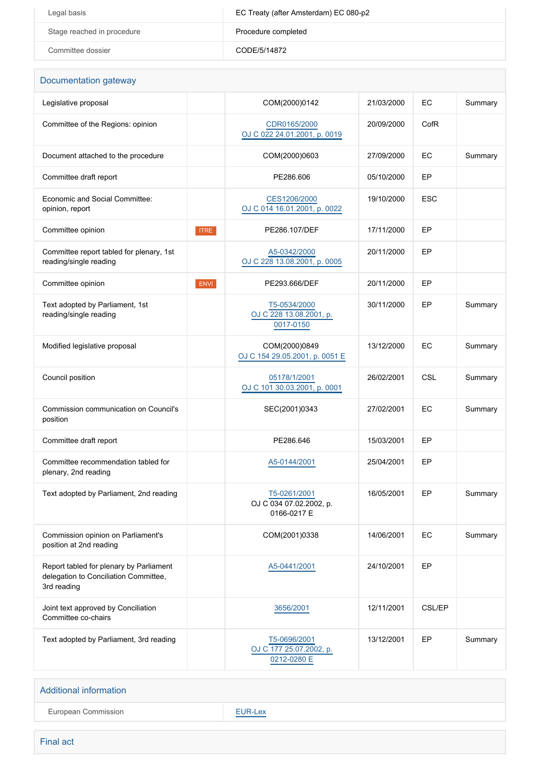| Legal basis                | EC Treaty (after Amsterdam) EC 080-p2 |
|----------------------------|---------------------------------------|
| Stage reached in procedure | Procedure completed                   |
| Committee dossier          | CODE/5/14872                          |

| Documentation gateway                                                                           |             |                                                        |            |               |         |
|-------------------------------------------------------------------------------------------------|-------------|--------------------------------------------------------|------------|---------------|---------|
| Legislative proposal                                                                            |             | COM(2000)0142                                          | 21/03/2000 | EC            | Summary |
| Committee of the Regions: opinion                                                               |             | CDR0165/2000<br>OJ C 022 24.01.2001, p. 0019           | 20/09/2000 | CofR          |         |
| Document attached to the procedure                                                              |             | COM(2000)0603                                          | 27/09/2000 | EC            | Summary |
| Committee draft report                                                                          |             | PE286.606                                              | 05/10/2000 | EP            |         |
| Economic and Social Committee:<br>opinion, report                                               |             | CES1206/2000<br>OJ C 014 16.01.2001, p. 0022           | 19/10/2000 | <b>ESC</b>    |         |
| Committee opinion                                                                               | <b>ITRE</b> | PE286.107/DEF                                          | 17/11/2000 | EP            |         |
| Committee report tabled for plenary, 1st<br>reading/single reading                              |             | A5-0342/2000<br>OJ C 228 13.08.2001, p. 0005           | 20/11/2000 | EP            |         |
| Committee opinion                                                                               | ENVI        | PE293.666/DEF                                          | 20/11/2000 | EP            |         |
| Text adopted by Parliament, 1st<br>reading/single reading                                       |             | T5-0534/2000<br>OJ C 228 13.08.2001, p.<br>0017-0150   | 30/11/2000 | EP            | Summary |
| Modified legislative proposal                                                                   |             | COM(2000)0849<br>OJ C 154 29.05.2001, p. 0051 E        | 13/12/2000 | EC            | Summary |
| Council position                                                                                |             | 05178/1/2001<br>OJ C 101 30.03.2001, p. 0001           | 26/02/2001 | CSL           | Summary |
| Commission communication on Council's<br>position                                               |             | SEC(2001)0343                                          | 27/02/2001 | EC            | Summary |
| Committee draft report                                                                          |             | PE286.646                                              | 15/03/2001 | EP            |         |
| Committee recommendation tabled for<br>plenary, 2nd reading                                     |             | A5-0144/2001                                           | 25/04/2001 | EP            |         |
| Text adopted by Parliament, 2nd reading                                                         |             | T5-0261/2001<br>OJ C 034 07.02.2002, p.<br>0166-0217 E | 16/05/2001 | EP            | Summary |
| Commission opinion on Parliament's<br>position at 2nd reading                                   |             | COM(2001)0338                                          | 14/06/2001 | EC            | Summary |
| Report tabled for plenary by Parliament<br>delegation to Conciliation Committee,<br>3rd reading |             | A5-0441/2001                                           | 24/10/2001 | EP            |         |
| Joint text approved by Conciliation<br>Committee co-chairs                                      |             | 3656/2001                                              | 12/11/2001 | <b>CSL/EP</b> |         |
| Text adopted by Parliament, 3rd reading                                                         |             | T5-0696/2001<br>OJ C 177 25.07.2002, p.<br>0212-0280 E | 13/12/2001 | EP            | Summary |

# Additional information European Commission **[EUR-Lex](http://ec.europa.eu/prelex/liste_resultats.cfm?CL=en&ReqId=0&DocType=COD&DocYear=2000&DocNum=0066)**

Final act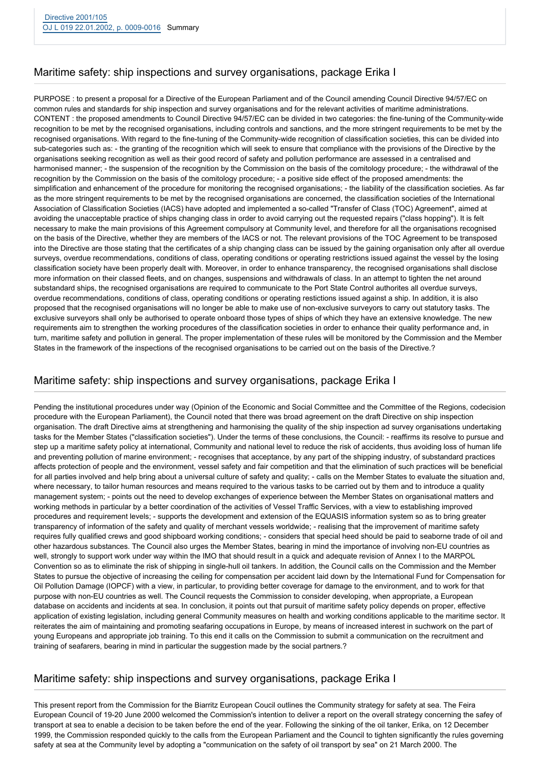# Maritime safety: ship inspections and survey organisations, package Erika I

PURPOSE : to present a proposal for a Directive of the European Parliament and of the Council amending Council Directive 94/57/EC on common rules and standards for ship inspection and survey organisations and for the relevant activities of maritime administrations. CONTENT : the proposed amendments to Council Directive 94/57/EC can be divided in two categories: the fine-tuning of the Community-wide recognition to be met by the recognised organisations, including controls and sanctions, and the more stringent requirements to be met by the recognised organisations. With regard to the fine-tuning of the Community-wide recognition of classification societies, this can be divided into sub-categories such as: - the granting of the recognition which will seek to ensure that compliance with the provisions of the Directive by the organisations seeking recognition as well as their good record of safety and pollution performance are assessed in a centralised and harmonised manner; - the suspension of the recognition by the Commission on the basis of the comitology procedure; - the withdrawal of the recognition by the Commission on the basis of the comitology procedure; - a positive side effect of the proposed amendments: the simplification and enhancement of the procedure for monitoring the recognised organisations; - the liability of the classification societies. As far as the more stringent requirements to be met by the recognised organisations are concerned, the classification societies of the International Association of Classification Societies (IACS) have adopted and implemented a so-called "Transfer of Class (TOC) Agreement", aimed at avoiding the unacceptable practice of ships changing class in order to avoid carrying out the requested repairs ("class hopping"). It is felt necessary to make the main provisions of this Agreement compulsory at Community level, and therefore for all the organisations recognised on the basis of the Directive, whether they are members of the IACS or not. The relevant provisions of the TOC Agreement to be transposed into the Directive are those stating that the certificates of a ship changing class can be issued by the gaining organisation only after all overdue surveys, overdue recommendations, conditions of class, operating conditions or operating restrictions issued against the vessel by the losing classification society have been properly dealt with. Moreover, in order to enhance transparency, the recognised organisations shall disclose more information on their classed fleets, and on changes, suspensions and withdrawals of class. In an attempt to tighten the net around substandard ships, the recognised organisations are required to communicate to the Port State Control authorites all overdue surveys, overdue recommendations, conditions of class, operating conditions or operating restictions issued against a ship. In addition, it is also proposed that the recognised organisations will no longer be able to make use of non-exclusive surveyors to carry out statutory tasks. The exclusive surveyors shall only be authorised to operate onboard those types of ships of which they have an extensive knowledge. The new requirements aim to strengthen the working procedures of the classification societies in order to enhance their quality performance and, in turn, maritime safety and pollution in general. The proper implementation of these rules will be monitored by the Commission and the Member States in the framework of the inspections of the recognised organisations to be carried out on the basis of the Directive.?

### Maritime safety: ship inspections and survey organisations, package Erika I

Pending the institutional procedures under way (Opinion of the Economic and Social Committee and the Committee of the Regions, codecision procedure with the European Parliament), the Council noted that there was broad agreement on the draft Directive on ship inspection organisation. The draft Directive aims at strengthening and harmonising the quality of the ship inspection ad survey organisations undertaking tasks for the Member States ("classification societies"). Under the terms of these conclusions, the Council: - reaffirms its resolve to pursue and step up a maritime safety policy at international, Community and national level to reduce the risk of accidents, thus avoiding loss of human life and preventing pollution of marine environment; - recognises that acceptance, by any part of the shipping industry, of substandard practices affects protection of people and the environment, vessel safety and fair competition and that the elimination of such practices will be beneficial for all parties involved and help bring about a universal culture of safety and quality; - calls on the Member States to evaluate the situation and, where necessary, to tailor human resources and means required to the various tasks to be carried out by them and to introduce a quality management system; - points out the need to develop exchanges of experience between the Member States on organisational matters and working methods in particular by a better coordination of the activities of Vessel Traffic Services, with a view to establishing improved procedures and requirement levels; - supports the development and extension of the EQUASIS information system so as to bring greater transparency of information of the safety and quality of merchant vessels worldwide; - realising that the improvement of maritime safety requires fully qualified crews and good shipboard working conditions; - considers that special heed should be paid to seaborne trade of oil and other hazardous substances. The Council also urges the Member States, bearing in mind the importance of involving non-EU countries as well, strongly to support work under way within the IMO that should result in a quick and adequate revision of Annex I to the MARPOL Convention so as to eliminate the risk of shipping in single-hull oil tankers. In addition, the Council calls on the Commission and the Member States to pursue the objective of increasing the ceiling for compensation per accident laid down by the International Fund for Compensation for Oil Pollution Damage (IOPCF) with a view, in particular, to providing better coverage for damage to the environment, and to work for that purpose with non-EU countries as well. The Council requests the Commission to consider developing, when appropriate, a European database on accidents and incidents at sea. In conclusion, it points out that pursuit of maritime safety policy depends on proper, effective application of existing legislation, including general Community measures on health and working conditions applicable to the maritime sector. It reiterates the aim of maintaining and promoting seafaring occupations in Europe, by means of increased interest in suchwork on the part of young Europeans and appropriate job training. To this end it calls on the Commission to submit a communication on the recruitment and training of seafarers, bearing in mind in particular the suggestion made by the social partners.?

# Maritime safety: ship inspections and survey organisations, package Erika I

This present report from the Commission for the Biarritz European Coucil outlines the Community strategy for safety at sea. The Feira European Council of 19-20 June 2000 welcomed the Commission's intention to deliver a report on the overall strategy concerning the safey of transport at sea to enable a decision to be taken before the end of the year. Following the sinking of the oil tanker, Erika, on 12 December 1999, the Commission responded quickly to the calls from the European Parliament and the Council to tighten significantly the rules governing safety at sea at the Community level by adopting a "communication on the safety of oil transport by sea" on 21 March 2000. The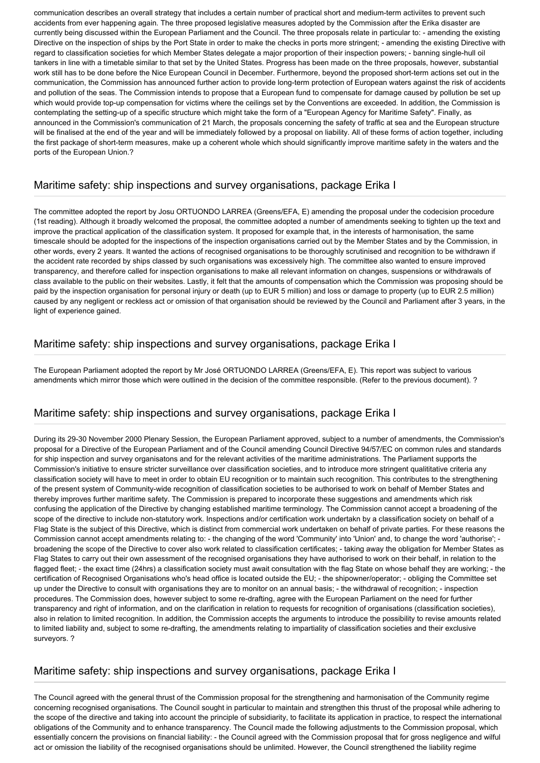communication describes an overall strategy that includes a certain number of practical short and medium-term activiites to prevent such accidents from ever happening again. The three proposed legislative measures adopted by the Commission after the Erika disaster are currently being discussed within the European Parliament and the Council. The three proposals relate in particular to: - amending the existing Directive on the inspection of ships by the Port State in order to make the checks in ports more stringent; - amending the existing Directive with regard to classification societies for which Member States delegate a major proportion of their inspection powers; - banning single-hull oil tankers in line with a timetable similar to that set by the United States. Progress has been made on the three proposals, however, substantial work still has to be done before the Nice European Council in December. Furthermore, beyond the proposed short-term actions set out in the communication, the Commission has announced further action to provide long-term protection of European waters against the risk of accidents and pollution of the seas. The Commission intends to propose that a European fund to compensate for damage caused by pollution be set up which would provide top-up compensation for victims where the ceilings set by the Conventions are exceeded. In addition, the Commission is contemplating the setting-up of a specific structure which might take the form of a "European Agency for Maritime Safety". Finally, as announced in the Commission's communication of 21 March, the proposals concerning the safety of traffic at sea and the European structure will be finalised at the end of the year and will be immediately followed by a proposal on liability. All of these forms of action together, including the first package of short-term measures, make up a coherent whole which should significantly improve maritime safety in the waters and the ports of the European Union.?

#### Maritime safety: ship inspections and survey organisations, package Erika I

The committee adopted the report by Josu ORTUONDO LARREA (Greens/EFA, E) amending the proposal under the codecision procedure (1st reading). Although it broadly welcomed the proposal, the committee adopted a number of amendments seeking to tighten up the text and improve the practical application of the classification system. It proposed for example that, in the interests of harmonisation, the same timescale should be adopted for the inspections of the inspection organisations carried out by the Member States and by the Commission, in other words, every 2 years. It wanted the actions of recognised organisations to be thoroughly scrutinised and recognition to be withdrawn if the accident rate recorded by ships classed by such organisations was excessively high. The committee also wanted to ensure improved transparency, and therefore called for inspection organisations to make all relevant information on changes, suspensions or withdrawals of class available to the public on their websites. Lastly, it felt that the amounts of compensation which the Commission was proposing should be paid by the inspection organisation for personal injury or death (up to EUR 5 million) and loss or damage to property (up to EUR 2.5 million) caused by any negligent or reckless act or omission of that organisation should be reviewed by the Council and Parliament after 3 years, in the light of experience gained.

#### Maritime safety: ship inspections and survey organisations, package Erika I

The European Parliament adopted the report by Mr José ORTUONDO LARREA (Greens/EFA, E). This report was subject to various amendments which mirror those which were outlined in the decision of the committee responsible. (Refer to the previous document). ?

#### Maritime safety: ship inspections and survey organisations, package Erika I

During its 29-30 November 2000 Plenary Session, the European Parliament approved, subject to a number of amendments, the Commission's proposal for a Directive of the European Parliament and of the Council amending Council Directive 94/57/EC on common rules and standards for ship inspection and survey organisatons and for the relevant activities of the maritime administrations. The Parliament supports the Commission's initiative to ensure stricter surveillance over classification societies, and to introduce more stringent qualititative criteria any classification society will have to meet in order to obtain EU recognition or to maintain such recognition. This contributes to the strengthening of the present system of Community-wide recognition of classification societies to be authorised to work on behalf of Member States and thereby improves further maritime safety. The Commission is prepared to incorporate these suggestions and amendments which risk confusing the application of the Directive by changing established maritime terminology. The Commission cannot accept a broadening of the scope of the directive to include non-statutory work. Inspections and/or certification work undertakn by a classification society on behalf of a Flag State is the subject of this Directive, which is distinct from commercial work undertaken on behalf of private parties. For these reasons the Commission cannot accept amendments relating to: - the changing of the word 'Community' into 'Union' and, to change the word 'authorise'; broadening the scope of the Directive to cover also work related to classification certificates; - taking away the obligation for Member States as Flag States to carry out their own assessment of the recognised organisations they have authorised to work on their behalf, in relation to the flagged fleet; - the exact time (24hrs) a classification society must await consultation with the flag State on whose behalf they are working; - the certification of Recognised Organisations who's head office is located outside the EU; - the shipowner/operator; - obliging the Committee set up under the Directive to consult with organisations they are to monitor on an annual basis; - the withdrawal of recognition; - inspection procedures. The Commission does, however subject to some re-drafting, agree with the European Parliament on the need for further transparency and right of information, and on the clarification in relation to requests for recognition of organisations (classification societies), also in relation to limited recognition. In addition, the Commission accepts the arguments to introduce the possibility to revise amounts related to limited liability and, subject to some re-drafting, the amendments relating to impartiality of classification societies and their exclusive surveyors. ?

#### Maritime safety: ship inspections and survey organisations, package Erika I

The Council agreed with the general thrust of the Commission proposal for the strengthening and harmonisation of the Community regime concerning recognised organisations. The Council sought in particular to maintain and strengthen this thrust of the proposal while adhering to the scope of the directive and taking into account the principle of subsidiarity, to facilitate its application in practice, to respect the international obligations of the Community and to enhance transparency. The Council made the following adjustments to the Commission proposal, which essentially concern the provisions on financial liability: - the Council agreed with the Commission proposal that for gross negligence and wilful act or omission the liability of the recognised organisations should be unlimited. However, the Council strengthened the liability regime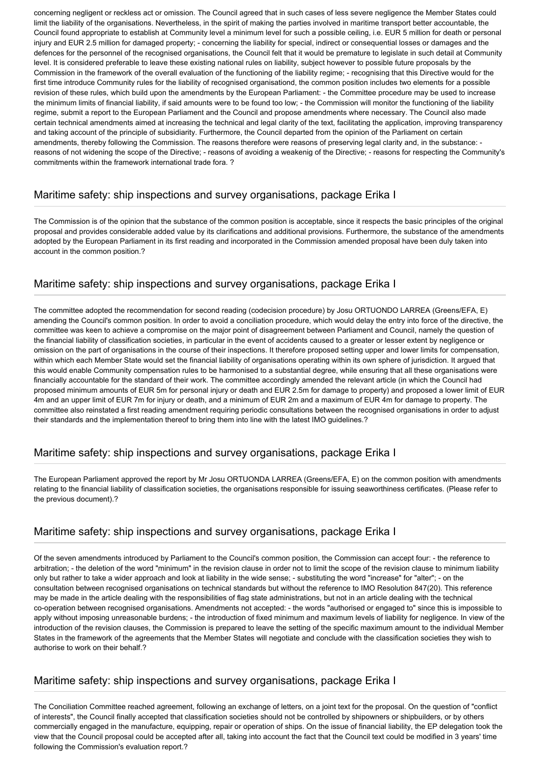concerning negligent or reckless act or omission. The Council agreed that in such cases of less severe negligence the Member States could limit the liability of the organisations. Nevertheless, in the spirit of making the parties involved in maritime transport better accountable, the Council found appropriate to establish at Community level a minimum level for such a possible ceiling, i.e. EUR 5 million for death or personal injury and EUR 2.5 million for damaged property; - concerning the liability for special, indirect or consequential losses or damages and the defences for the personnel of the recognised organisations, the Council felt that it would be premature to legislate in such detail at Community level. It is considered preferable to leave these existing national rules on liability, subject however to possible future proposals by the Commission in the framework of the overall evaluation of the functioning of the liability regime; - recognising that this Directive would for the first time introduce Community rules for the liability of recognised organisationd, the common position includes two elements for a possible revision of these rules, which build upon the amendments by the European Parliament: - the Committee procedure may be used to increase the minimum limits of financial liability, if said amounts were to be found too low; - the Commission will monitor the functioning of the liability regime, submit a report to the European Parliament and the Council and propose amendments where necessary. The Council also made certain technical amendments aimed at increasing the technical and legal clarity of the text, facilitating the application, improving transparency and taking account of the principle of subsidiarity. Furthermore, the Council departed from the opinion of the Parliament on certain amendments, thereby following the Commission. The reasons therefore were reasons of preserving legal clarity and, in the substance: reasons of not widening the scope of the Directive; - reasons of avoiding a weakenig of the Directive; - reasons for respecting the Community's commitments within the framework international trade fora. ?

#### Maritime safety: ship inspections and survey organisations, package Erika I

The Commission is of the opinion that the substance of the common position is acceptable, since it respects the basic principles of the original proposal and provides considerable added value by its clarifications and additional provisions. Furthermore, the substance of the amendments adopted by the European Parliament in its first reading and incorporated in the Commission amended proposal have been duly taken into account in the common position.?

# Maritime safety: ship inspections and survey organisations, package Erika I

The committee adopted the recommendation for second reading (codecision procedure) by Josu ORTUONDO LARREA (Greens/EFA, E) amending the Council's common position. In order to avoid a conciliation procedure, which would delay the entry into force of the directive, the committee was keen to achieve a compromise on the major point of disagreement between Parliament and Council, namely the question of the financial liability of classification societies, in particular in the event of accidents caused to a greater or lesser extent by negligence or omission on the part of organisations in the course of their inspections. It therefore proposed setting upper and lower limits for compensation, within which each Member State would set the financial liability of organisations operating within its own sphere of jurisdiction. It argued that this would enable Community compensation rules to be harmonised to a substantial degree, while ensuring that all these organisations were financially accountable for the standard of their work. The committee accordingly amended the relevant article (in which the Council had proposed minimum amounts of EUR 5m for personal injury or death and EUR 2.5m for damage to property) and proposed a lower limit of EUR 4m and an upper limit of EUR 7m for injury or death, and a minimum of EUR 2m and a maximum of EUR 4m for damage to property. The committee also reinstated a first reading amendment requiring periodic consultations between the recognised organisations in order to adjust their standards and the implementation thereof to bring them into line with the latest IMO guidelines.?

# Maritime safety: ship inspections and survey organisations, package Erika I

The European Parliament approved the report by Mr Josu ORTUONDA LARREA (Greens/EFA, E) on the common position with amendments relating to the financial liability of classification societies, the organisations responsible for issuing seaworthiness certificates. (Please refer to the previous document).?

# Maritime safety: ship inspections and survey organisations, package Erika I

Of the seven amendments introduced by Parliament to the Council's common position, the Commission can accept four: - the reference to arbitration; - the deletion of the word "minimum" in the revision clause in order not to limit the scope of the revision clause to minimum liability only but rather to take a wider approach and look at liability in the wide sense; - substituting the word "increase" for "alter"; - on the consultation between recognised organisations on technical standards but without the reference to IMO Resolution 847(20). This reference may be made in the article dealing with the responsibilities of flag state administrations, but not in an article dealing with the technical co-operation between recognised organisations. Amendments not accepted: - the words "authorised or engaged to" since this is impossible to apply without imposing unreasonable burdens; - the introduction of fixed minimum and maximum levels of liability for negligence. In view of the introduction of the revision clauses, the Commission is prepared to leave the setting of the specific maximum amount to the individual Member States in the framework of the agreements that the Member States will negotiate and conclude with the classification societies they wish to authorise to work on their behalf.?

# Maritime safety: ship inspections and survey organisations, package Erika I

The Conciliation Committee reached agreement, following an exchange of letters, on a joint text for the proposal. On the question of "conflict of interests", the Council finally accepted that classification societies should not be controlled by shipowners or shipbuilders, or by others commercially engaged in the manufacture, equipping, repair or operation of ships. On the issue of financial liability, the EP delegation took the view that the Council proposal could be accepted after all, taking into account the fact that the Council text could be modified in 3 years' time following the Commission's evaluation report.?